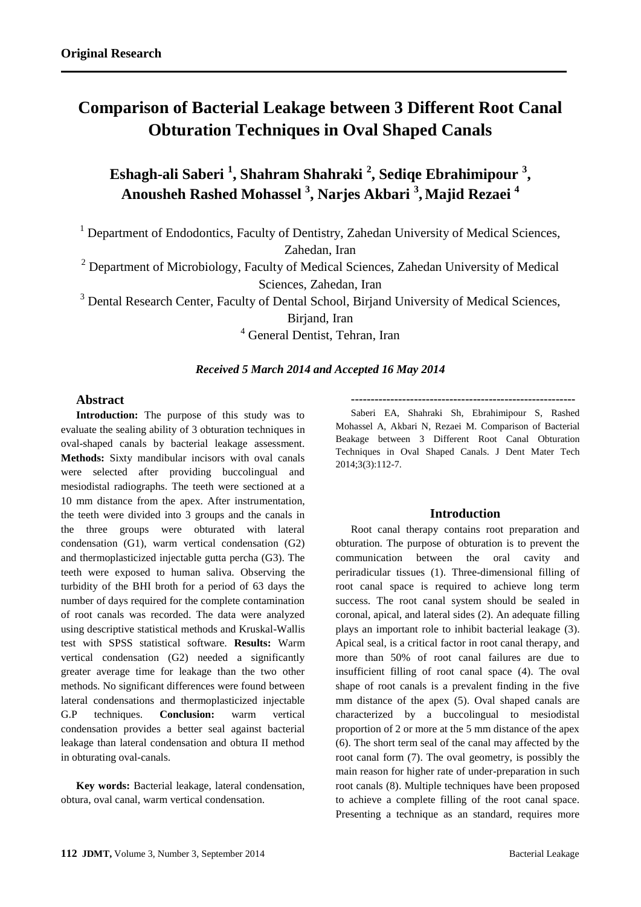# **Comparison of Bacterial Leakage between 3 Different Root Canal Obturation Techniques in Oval Shaped Canals**

**Eshagh-ali Saberi <sup>1</sup> , Shahram Shahraki <sup>2</sup> , Sediqe Ebrahimipour <sup>3</sup> , Anousheh Rashed Mohassel <sup>3</sup> , Narjes Akbari <sup>3</sup> , Majid Rezaei 4**

<sup>1</sup> Department of Endodontics, Faculty of Dentistry, Zahedan University of Medical Sciences, Zahedan, Iran

 $2$  Department of Microbiology, Faculty of Medical Sciences, Zahedan University of Medical Sciences, Zahedan, Iran

<sup>3</sup> Dental Research Center, Faculty of Dental School, Birjand University of Medical Sciences,

Birjand, Iran

<sup>4</sup> General Dentist, Tehran, Iran

# *Received 5 March 2014 and Accepted 16 May 2014*

# **Abstract**

**Introduction:** The purpose of this study was to evaluate the sealing ability of 3 obturation techniques in oval-shaped canals by bacterial leakage assessment. **Methods:** Sixty mandibular incisors with oval canals were selected after providing buccolingual and mesiodistal radiographs. The teeth were sectioned at a 10 mm distance from the apex. After instrumentation, the teeth were divided into 3 groups and the canals in the three groups were obturated with lateral condensation (G1), warm vertical condensation (G2) and thermoplasticized injectable gutta percha (G3). The teeth were exposed to human saliva. Observing the turbidity of the BHI broth for a period of 63 days the number of days required for the complete contamination of root canals was recorded. The data were analyzed using descriptive statistical methods and Kruskal-Wallis test with SPSS statistical software. **Results:** Warm vertical condensation (G2) needed a significantly greater average time for leakage than the two other methods. No significant differences were found between lateral condensations and thermoplasticized injectable G.P techniques. **Conclusion:** warm vertical condensation provides a better seal against bacterial leakage than lateral condensation and obtura II method in obturating oval-canals.

**Key words:** Bacterial leakage, lateral condensation, obtura, oval canal, warm vertical condensation.

**---------------------------------------------------------**

Saberi EA, Shahraki Sh, Ebrahimipour S, Rashed Mohassel A, Akbari N, Rezaei M. Comparison of Bacterial Beakage between 3 Different Root Canal Obturation Techniques in Oval Shaped Canals. J Dent Mater Tech 2014;3(3):112-7.

## **Introduction**

Root canal therapy contains root preparation and obturation. The purpose of obturation is to prevent the communication between the oral cavity and periradicular tissues (1). Three-dimensional filling of root canal space is required to achieve long term success. The root canal system should be sealed in coronal, apical, and lateral sides (2). An adequate filling plays an important role to inhibit bacterial leakage (3). Apical seal, is a critical factor in root canal therapy, and more than 50% of root canal failures are due to insufficient filling of root canal space (4). The oval shape of root canals is a prevalent finding in the five mm distance of the apex (5). Oval shaped canals are characterized by a buccolingual to mesiodistal proportion of 2 or more at the 5 mm distance of the apex (6). The short term seal of the canal may affected by the root canal form (7). The oval geometry, is possibly the main reason for higher rate of under-preparation in such root canals (8). Multiple techniques have been proposed to achieve a complete filling of the root canal space. Presenting a technique as an standard, requires more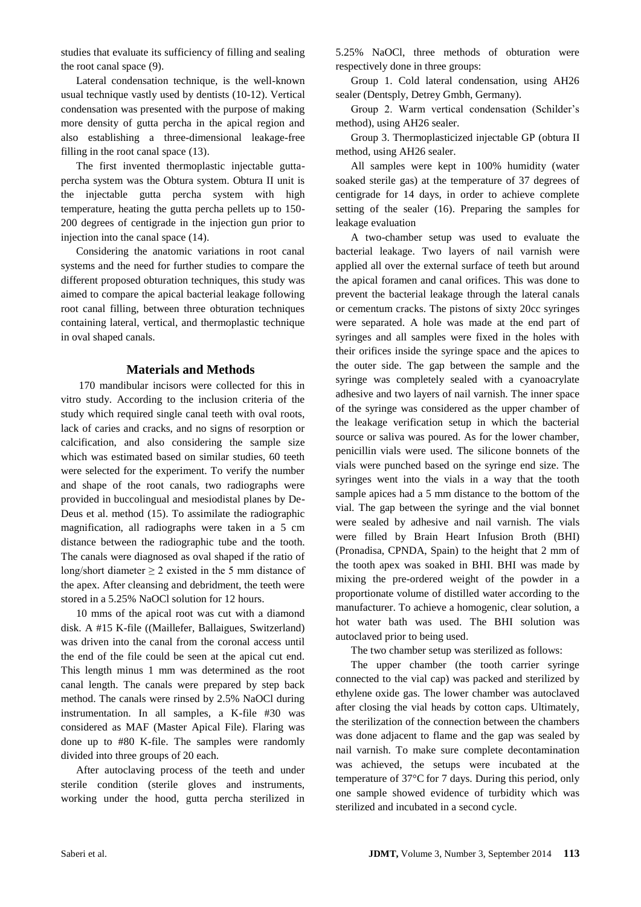studies that evaluate its sufficiency of filling and sealing the root canal space (9).

Lateral condensation technique, is the well-known usual technique vastly used by dentists (10-12). Vertical condensation was presented with the purpose of making more density of gutta percha in the apical region and also establishing a three-dimensional leakage-free filling in the root canal space (13).

The first invented thermoplastic injectable guttapercha system was the Obtura system. Obtura II unit is the injectable gutta percha system with high temperature, heating the gutta percha pellets up to 150- 200 degrees of centigrade in the injection gun prior to injection into the canal space (14).

Considering the anatomic variations in root canal systems and the need for further studies to compare the different proposed obturation techniques, this study was aimed to compare the apical bacterial leakage following root canal filling, between three obturation techniques containing lateral, vertical, and thermoplastic technique in oval shaped canals.

# **Materials and Methods**

170 mandibular incisors were collected for this in vitro study. According to the inclusion criteria of the study which required single canal teeth with oval roots, lack of caries and cracks, and no signs of resorption or calcification, and also considering the sample size which was estimated based on similar studies, 60 teeth were selected for the experiment. To verify the number and shape of the root canals, two radiographs were provided in buccolingual and mesiodistal planes by De-Deus et al. method (15). To assimilate the radiographic magnification, all radiographs were taken in a 5 cm distance between the radiographic tube and the tooth. The canals were diagnosed as oval shaped if the ratio of long/short diameter  $\geq 2$  existed in the 5 mm distance of the apex. After cleansing and debridment, the teeth were stored in a 5.25% NaOCl solution for 12 hours.

10 mms of the apical root was cut with a diamond disk. A #15 K-file ((Maillefer, Ballaigues, Switzerland) was driven into the canal from the coronal access until the end of the file could be seen at the apical cut end. This length minus 1 mm was determined as the root canal length. The canals were prepared by step back method. The canals were rinsed by 2.5% NaOCl during instrumentation. In all samples, a K-file #30 was considered as MAF (Master Apical File). Flaring was done up to #80 K-file. The samples were randomly divided into three groups of 20 each.

After autoclaving process of the teeth and under sterile condition (sterile gloves and instruments, working under the hood, gutta percha sterilized in 5.25% NaOCl, three methods of obturation were respectively done in three groups:

Group 1. Cold lateral condensation, using AH26 sealer (Dentsply, Detrey Gmbh, Germany).

Group 2. Warm vertical condensation (Schilder's method), using AH26 sealer.

Group 3. Thermoplasticized injectable GP (obtura II method, using AH26 sealer.

All samples were kept in 100% humidity (water soaked sterile gas) at the temperature of 37 degrees of centigrade for 14 days, in order to achieve complete setting of the sealer (16). Preparing the samples for leakage evaluation

A two-chamber setup was used to evaluate the bacterial leakage. Two layers of nail varnish were applied all over the external surface of teeth but around the apical foramen and canal orifices. This was done to prevent the bacterial leakage through the lateral canals or cementum cracks. The pistons of sixty 20cc syringes were separated. A hole was made at the end part of syringes and all samples were fixed in the holes with their orifices inside the syringe space and the apices to the outer side. The gap between the sample and the syringe was completely sealed with a cyanoacrylate adhesive and two layers of nail varnish. The inner space of the syringe was considered as the upper chamber of the leakage verification setup in which the bacterial source or saliva was poured. As for the lower chamber, penicillin vials were used. The silicone bonnets of the vials were punched based on the syringe end size. The syringes went into the vials in a way that the tooth sample apices had a 5 mm distance to the bottom of the vial. The gap between the syringe and the vial bonnet were sealed by adhesive and nail varnish. The vials were filled by Brain Heart Infusion Broth (BHI) (Pronadisa, CPNDA, Spain) to the height that 2 mm of the tooth apex was soaked in BHI. BHI was made by mixing the pre-ordered weight of the powder in a proportionate volume of distilled water according to the manufacturer. To achieve a homogenic, clear solution, a hot water bath was used. The BHI solution was autoclaved prior to being used.

The two chamber setup was sterilized as follows:

The upper chamber (the tooth carrier syringe connected to the vial cap) was packed and sterilized by ethylene oxide gas. The lower chamber was autoclaved after closing the vial heads by cotton caps. Ultimately, the sterilization of the connection between the chambers was done adjacent to flame and the gap was sealed by nail varnish. To make sure complete decontamination was achieved, the setups were incubated at the temperature of 37°C for 7 days. During this period, only one sample showed evidence of turbidity which was sterilized and incubated in a second cycle.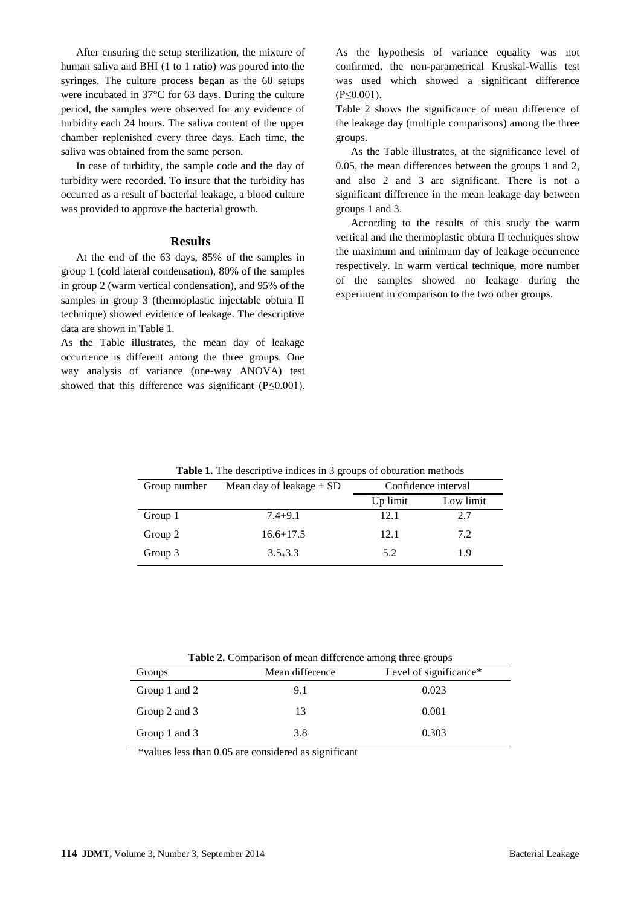After ensuring the setup sterilization, the mixture of human saliva and BHI (1 to 1 ratio) was poured into the syringes. The culture process began as the 60 setups were incubated in 37°C for 63 days. During the culture period, the samples were observed for any evidence of turbidity each 24 hours. The saliva content of the upper chamber replenished every three days. Each time, the saliva was obtained from the same person.

In case of turbidity, the sample code and the day of turbidity were recorded. To insure that the turbidity has occurred as a result of bacterial leakage, a blood culture was provided to approve the bacterial growth.

#### **Results**

At the end of the 63 days, 85% of the samples in group 1 (cold lateral condensation), 80% of the samples in group 2 (warm vertical condensation), and 95% of the samples in group 3 (thermoplastic injectable obtura II technique) showed evidence of leakage. The descriptive data are shown in Table 1.

As the Table illustrates, the mean day of leakage occurrence is different among the three groups. One way analysis of variance (one-way ANOVA) test showed that this difference was significant (P≤0.001). As the hypothesis of variance equality was not confirmed, the non-parametrical Kruskal-Wallis test was used which showed a significant difference  $(P \le 0.001)$ .

Table 2 shows the significance of mean difference of the leakage day (multiple comparisons) among the three groups.

As the Table illustrates, at the significance level of 0.05, the mean differences between the groups 1 and 2, and also 2 and 3 are significant. There is not a significant difference in the mean leakage day between groups 1 and 3.

According to the results of this study the warm vertical and the thermoplastic obtura II techniques show the maximum and minimum day of leakage occurrence respectively. In warm vertical technique, more number of the samples showed no leakage during the experiment in comparison to the two other groups.

| <b>Table 1.</b> The descriptive indices in 3 groups of obturation methods |                            |                     |           |
|---------------------------------------------------------------------------|----------------------------|---------------------|-----------|
| Group number                                                              | Mean day of leakage $+$ SD | Confidence interval |           |
|                                                                           |                            | Up limit            | Low limit |
| Group 1                                                                   | $7.4 + 9.1$                | 12.1                | 2.7       |
| Group 2                                                                   | $16.6 + 17.5$              | 12.1                | 7.2       |
| Group 3                                                                   | $3.5 + 3.3$                | 5.2                 | 1.9       |

**Table 2.** Comparison of mean difference among three groups

| Groups        | Mean difference | Level of significance* |
|---------------|-----------------|------------------------|
| Group 1 and 2 | 9.1             | 0.023                  |
| Group 2 and 3 | 13              | 0.001                  |
| Group 1 and 3 | 3.8             | 0.303                  |

\*values less than 0.05 are considered as significant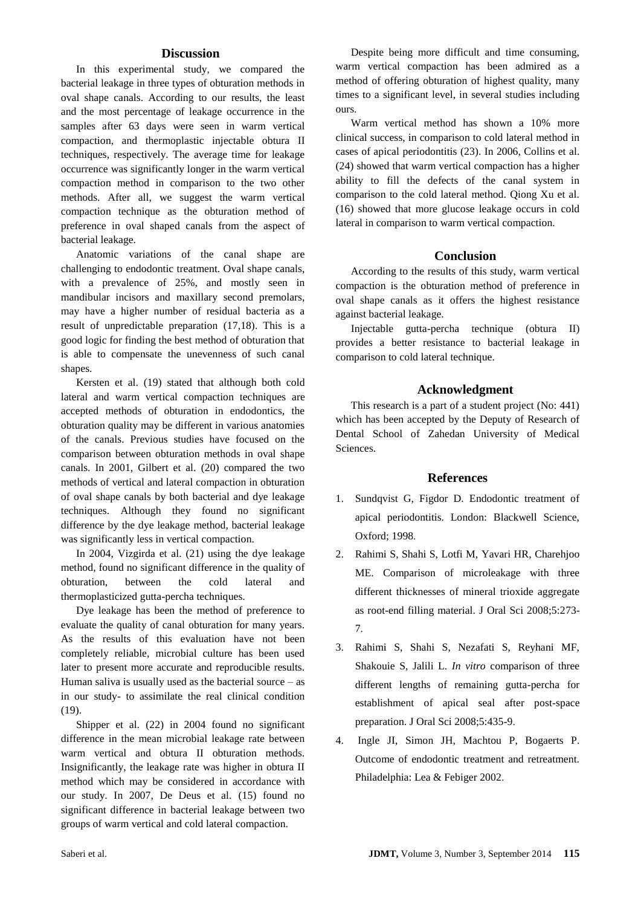### **Discussion**

In this experimental study, we compared the bacterial leakage in three types of obturation methods in oval shape canals. According to our results, the least and the most percentage of leakage occurrence in the samples after 63 days were seen in warm vertical compaction, and thermoplastic injectable obtura II techniques, respectively. The average time for leakage occurrence was significantly longer in the warm vertical compaction method in comparison to the two other methods. After all, we suggest the warm vertical compaction technique as the obturation method of preference in oval shaped canals from the aspect of bacterial leakage.

Anatomic variations of the canal shape are challenging to endodontic treatment. Oval shape canals, with a prevalence of 25%, and mostly seen in mandibular incisors and maxillary second premolars, may have a higher number of residual bacteria as a result of unpredictable preparation (17,18). This is a good logic for finding the best method of obturation that is able to compensate the unevenness of such canal shapes.

Kersten et al. (19) stated that although both cold lateral and warm vertical compaction techniques are accepted methods of obturation in endodontics, the obturation quality may be different in various anatomies of the canals. Previous studies have focused on the comparison between obturation methods in oval shape canals. In 2001, Gilbert et al. (20) compared the two methods of vertical and lateral compaction in obturation of oval shape canals by both bacterial and dye leakage techniques. Although they found no significant difference by the dye leakage method, bacterial leakage was significantly less in vertical compaction.

In 2004, Vizgirda et al. (21) using the dye leakage method, found no significant difference in the quality of obturation, between the cold lateral and thermoplasticized gutta-percha techniques.

Dye leakage has been the method of preference to evaluate the quality of canal obturation for many years. As the results of this evaluation have not been completely reliable, microbial culture has been used later to present more accurate and reproducible results. Human saliva is usually used as the bacterial source  $-$  as in our study- to assimilate the real clinical condition (19).

Shipper et al. (22) in 2004 found no significant difference in the mean microbial leakage rate between warm vertical and obtura II obturation methods. Insignificantly, the leakage rate was higher in obtura II method which may be considered in accordance with our study. In 2007, De Deus et al. (15) found no significant difference in bacterial leakage between two groups of warm vertical and cold lateral compaction.

Despite being more difficult and time consuming, warm vertical compaction has been admired as a method of offering obturation of highest quality, many times to a significant level, in several studies including ours.

Warm vertical method has shown a 10% more clinical success, in comparison to cold lateral method in cases of apical periodontitis (23). In 2006, Collins et al. (24) showed that warm vertical compaction has a higher ability to fill the defects of the canal system in comparison to the cold lateral method. Qiong Xu et al. (16) showed that more glucose leakage occurs in cold lateral in comparison to warm vertical compaction.

# **Conclusion**

According to the results of this study, warm vertical compaction is the obturation method of preference in oval shape canals as it offers the highest resistance against bacterial leakage.

Injectable gutta-percha technique (obtura II) provides a better resistance to bacterial leakage in comparison to cold lateral technique.

## **Acknowledgment**

This research is a part of a student project (No: 441) which has been accepted by the Deputy of Research of Dental School of Zahedan University of Medical Sciences.

#### **References**

- 1. Sundqvist G, Figdor D. Endodontic treatment of apical periodontitis. London: Blackwell Science, Oxford; 1998.
- 2. Rahimi S, Shahi S, Lotfi M, Yavari HR, Charehjoo ME. Comparison of microleakage with three different thicknesses of mineral trioxide aggregate as root-end filling material. J Oral Sci 2008;5:273- 7.
- 3. Rahimi S, Shahi S, Nezafati S, Reyhani MF, Shakouie S, Jalili L. *In vitro* comparison of three different lengths of remaining gutta-percha for establishment of apical seal after post-space preparation. J Oral Sci 2008;5:435-9.
- 4. Ingle JI, Simon JH, Machtou P, Bogaerts P. Outcome of endodontic treatment and retreatment. Philadelphia: Lea & Febiger 2002.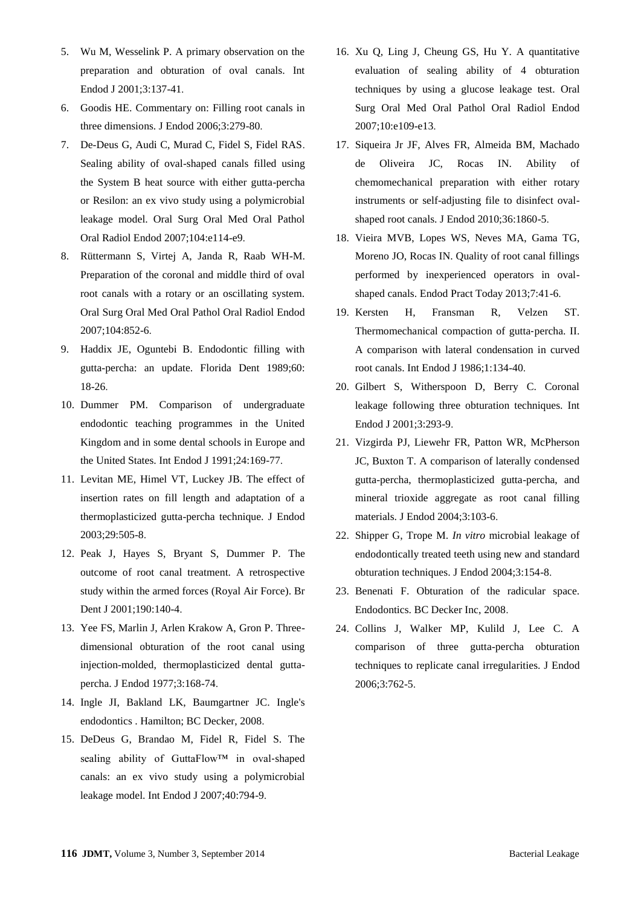- 5. Wu M, Wesselink P. A primary observation on the preparation and obturation of oval canals. Int Endod J 2001;3:137-41.
- 6. Goodis HE. Commentary on: Filling root canals in three dimensions. J Endod 2006;3:279-80.
- 7. De-Deus G, Audi C, Murad C, Fidel S, Fidel RAS. Sealing ability of oval-shaped canals filled using the System B heat source with either gutta-percha or Resilon: an ex vivo study using a polymicrobial leakage model. Oral Surg Oral Med Oral Pathol Oral Radiol Endod 2007;104:e114-e9.
- 8. Rüttermann S, Virtej A, Janda R, Raab WH-M. Preparation of the coronal and middle third of oval root canals with a rotary or an oscillating system. Oral Surg Oral Med Oral Pathol Oral Radiol Endod 2007;104:852-6.
- 9. Haddix JE, Oguntebi B. Endodontic filling with gutta-percha: an update. Florida Dent 1989;60: 18-26.
- 10. Dummer PM. Comparison of undergraduate endodontic teaching programmes in the United Kingdom and in some dental schools in Europe and the United States. Int Endod J 1991;24:169-77.
- 11. Levitan ME, Himel VT, Luckey JB. The effect of insertion rates on fill length and adaptation of a thermoplasticized gutta-percha technique. J Endod 2003;29:505-8.
- 12. Peak J, Hayes S, Bryant S, Dummer P. The outcome of root canal treatment. A retrospective study within the armed forces (Royal Air Force). Br Dent J 2001;190:140-4.
- 13. Yee FS, Marlin J, Arlen Krakow A, Gron P. Threedimensional obturation of the root canal using injection-molded, thermoplasticized dental guttapercha. J Endod 1977;3:168-74.
- 14. Ingle JI, Bakland LK, Baumgartner JC. Ingle's endodontics . Hamilton; BC Decker, 2008.
- 15. DeDeus G, Brandao M, Fidel R, Fidel S. The sealing ability of GuttaFlow™ in oval-shaped canals: an ex vivo study using a polymicrobial leakage model. Int Endod J 2007;40:794-9.
- 16. Xu Q, Ling J, Cheung GS, Hu Y. A quantitative evaluation of sealing ability of 4 obturation techniques by using a glucose leakage test. Oral Surg Oral Med Oral Pathol Oral Radiol Endod 2007;10:e109-e13.
- 17. Siqueira Jr JF, Alves FR, Almeida BM, Machado de Oliveira JC, Rocas IN. Ability of chemomechanical preparation with either rotary instruments or self-adjusting file to disinfect ovalshaped root canals. J Endod 2010;36:1860-5.
- 18. Vieira MVB, Lopes WS, Neves MA, Gama TG, Moreno JO, Rocas IN. Quality of root canal fillings performed by inexperienced operators in ovalshaped canals. Endod Pract Today 2013;7:41-6.
- 19. Kersten H, Fransman R, Velzen ST. Thermomechanical compaction of gutta‐percha. II. A comparison with lateral condensation in curved root canals. Int Endod J 1986;1:134-40.
- 20. Gilbert S, Witherspoon D, Berry C. Coronal leakage following three obturation techniques. Int Endod J 2001;3:293-9.
- 21. Vizgirda PJ, Liewehr FR, Patton WR, McPherson JC, Buxton T. A comparison of laterally condensed gutta-percha, thermoplasticized gutta-percha, and mineral trioxide aggregate as root canal filling materials. J Endod 2004;3:103-6.
- 22. Shipper G, Trope M. *In vitro* microbial leakage of endodontically treated teeth using new and standard obturation techniques. J Endod 2004;3:154-8.
- 23. Benenati F. Obturation of the radicular space. Endodontics. BC Decker Inc, 2008.
- 24. Collins J, Walker MP, Kulild J, Lee C. A comparison of three gutta-percha obturation techniques to replicate canal irregularities. J Endod 2006;3:762-5.